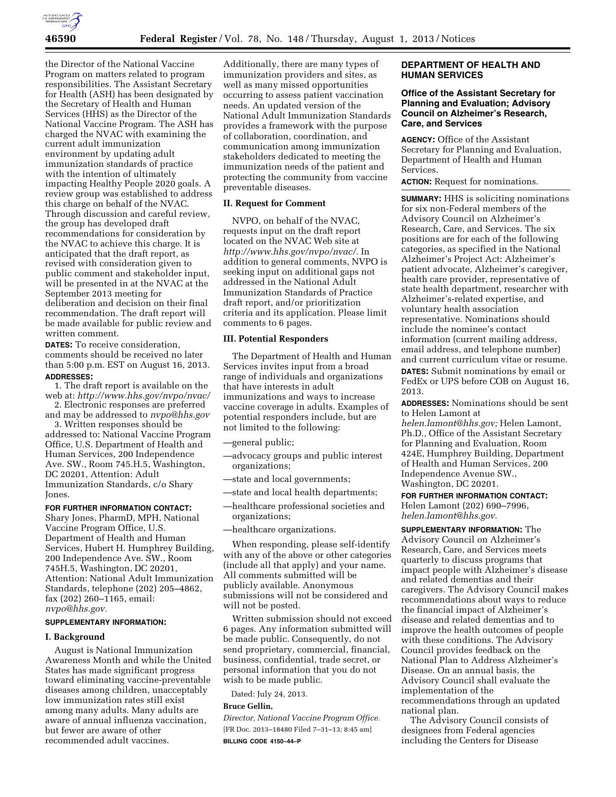

the Director of the National Vaccine Program on matters related to program responsibilities. The Assistant Secretary for Health (ASH) has been designated by the Secretary of Health and Human Services (HHS) as the Director of the National Vaccine Program. The ASH has charged the NVAC with examining the current adult immunization environment by updating adult immunization standards of practice with the intention of ultimately impacting Healthy People 2020 goals. A review group was established to address this charge on behalf of the NVAC. Through discussion and careful review, the group has developed draft recommendations for consideration by the NVAC to achieve this charge. It is anticipated that the draft report, as revised with consideration given to public comment and stakeholder input, will be presented in at the NVAC at the September 2013 meeting for deliberation and decision on their final recommendation. The draft report will be made available for public review and written comment.

**DATES:** To receive consideration, comments should be received no later than 5:00 p.m. EST on August 16, 2013. **ADDRESSES:** 

1. The draft report is available on the web at: *<http://www.hhs.gov/nvpo/nvac/>*

2. Electronic responses are preferred and may be addressed to *[nvpo@hhs.gov](mailto:nvpo@hhs.gov)* 

3. Written responses should be addressed to: National Vaccine Program Office, U.S. Department of Health and Human Services, 200 Independence Ave. SW., Room 745.H.5, Washington, DC 20201, Attention: Adult Immunization Standards, c/o Shary Jones.

# **FOR FURTHER INFORMATION CONTACT:**

Shary Jones, PharmD, MPH, National Vaccine Program Office, U.S. Department of Health and Human Services, Hubert H. Humphrey Building, 200 Independence Ave. SW., Room 745H.5, Washington, DC 20201, Attention: National Adult Immunization Standards, telephone (202) 205–4862, fax (202) 260–1165, email: *[nvpo@hhs.gov.](mailto:nvpo@hhs.gov)* 

#### **SUPPLEMENTARY INFORMATION:**

### **I. Background**

August is National Immunization Awareness Month and while the United States has made significant progress toward eliminating vaccine-preventable diseases among children, unacceptably low immunization rates still exist among many adults. Many adults are aware of annual influenza vaccination, but fewer are aware of other recommended adult vaccines.

Additionally, there are many types of immunization providers and sites, as well as many missed opportunities occurring to assess patient vaccination needs. An updated version of the National Adult Immunization Standards provides a framework with the purpose of collaboration, coordination, and communication among immunization stakeholders dedicated to meeting the immunization needs of the patient and protecting the community from vaccine preventable diseases.

## **II. Request for Comment**

NVPO, on behalf of the NVAC, requests input on the draft report located on the NVAC Web site at *[http://www.hhs.gov/nvpo/nvac/.](http://www.hhs.gov/nvpo/nvac/)* In addition to general comments, NVPO is seeking input on additional gaps not addressed in the National Adult Immunization Standards of Practice draft report, and/or prioritization criteria and its application. Please limit comments to 6 pages.

## **III. Potential Responders**

The Department of Health and Human Services invites input from a broad range of individuals and organizations that have interests in adult immunizations and ways to increase vaccine coverage in adults. Examples of potential responders include, but are not limited to the following:

- —general public;
- —advocacy groups and public interest organizations;
- —state and local governments;
- —state and local health departments;
- —healthcare professional societies and organizations;
- —healthcare organizations.

When responding, please self-identify with any of the above or other categories (include all that apply) and your name. All comments submitted will be publicly available. Anonymous submissions will not be considered and will not be posted.

Written submission should not exceed 6 pages. Any information submitted will be made public. Consequently, do not send proprietary, commercial, financial, business, confidential, trade secret, or personal information that you do not wish to be made public.

Dated: July 24, 2013.

#### **Bruce Gellin,**

*Director, National Vaccine Program Office.*  [FR Doc. 2013–18480 Filed 7–31–13; 8:45 am] **BILLING CODE 4150–44–P** 

## **DEPARTMENT OF HEALTH AND HUMAN SERVICES**

# **Office of the Assistant Secretary for Planning and Evaluation; Advisory Council on Alzheimer's Research, Care, and Services**

**AGENCY:** Office of the Assistant Secretary for Planning and Evaluation, Department of Health and Human Services.

**ACTION:** Request for nominations.

**SUMMARY:** HHS is soliciting nominations for six non-Federal members of the Advisory Council on Alzheimer's Research, Care, and Services. The six positions are for each of the following categories, as specified in the National Alzheimer's Project Act: Alzheimer's patient advocate, Alzheimer's caregiver, health care provider, representative of state health department, researcher with Alzheimer's-related expertise, and voluntary health association representative. Nominations should include the nominee's contact information (current mailing address, email address, and telephone number) and current curriculum vitae or resume. **DATES:** Submit nominations by email or FedEx or UPS before COB on August 16, 2013.

**ADDRESSES:** Nominations should be sent to Helen Lamont at

*[helen.lamont@hhs.gov;](mailto:helen.lamont@hhs.gov)* Helen Lamont, Ph.D., Office of the Assistant Secretary for Planning and Evaluation, Room 424E, Humphrey Building, Department of Health and Human Services, 200 Independence Avenue SW., Washington, DC 20201.

**FOR FURTHER INFORMATION CONTACT:**  Helen Lamont (202) 690–7996, *[helen.lamont@hhs.gov](mailto:helen.lamont@hhs.gov)*.

**SUPPLEMENTARY INFORMATION:** The Advisory Council on Alzheimer's Research, Care, and Services meets quarterly to discuss programs that impact people with Alzheimer's disease and related dementias and their caregivers. The Advisory Council makes recommendations about ways to reduce the financial impact of Alzheimer's disease and related dementias and to improve the health outcomes of people with these conditions. The Advisory Council provides feedback on the National Plan to Address Alzheimer's Disease. On an annual basis, the Advisory Council shall evaluate the implementation of the recommendations through an updated national plan.

The Advisory Council consists of designees from Federal agencies including the Centers for Disease